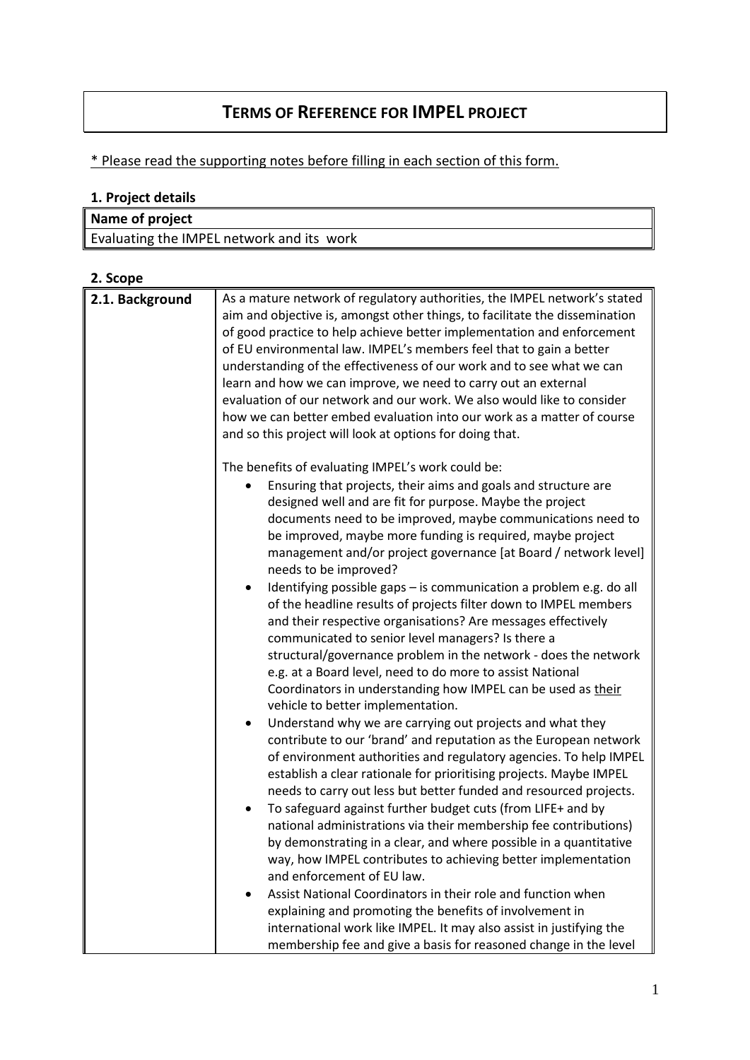# **TERMS OF REFERENCE FOR IMPEL PROJECT**

# \* Please read the supporting notes before filling in each section of this form.

### **1. Project details**

| Name of project                           |  |
|-------------------------------------------|--|
| Evaluating the IMPEL network and its work |  |
|                                           |  |

| 2. Scope        |                                                                                                                                                                                                                                                                                                                                                                                                                                                                                                                                                                                                                                                                      |
|-----------------|----------------------------------------------------------------------------------------------------------------------------------------------------------------------------------------------------------------------------------------------------------------------------------------------------------------------------------------------------------------------------------------------------------------------------------------------------------------------------------------------------------------------------------------------------------------------------------------------------------------------------------------------------------------------|
| 2.1. Background | As a mature network of regulatory authorities, the IMPEL network's stated<br>aim and objective is, amongst other things, to facilitate the dissemination<br>of good practice to help achieve better implementation and enforcement<br>of EU environmental law. IMPEL's members feel that to gain a better<br>understanding of the effectiveness of our work and to see what we can<br>learn and how we can improve, we need to carry out an external<br>evaluation of our network and our work. We also would like to consider<br>how we can better embed evaluation into our work as a matter of course<br>and so this project will look at options for doing that. |
|                 | The benefits of evaluating IMPEL's work could be:<br>Ensuring that projects, their aims and goals and structure are                                                                                                                                                                                                                                                                                                                                                                                                                                                                                                                                                  |
|                 | designed well and are fit for purpose. Maybe the project<br>documents need to be improved, maybe communications need to<br>be improved, maybe more funding is required, maybe project<br>management and/or project governance [at Board / network level]<br>needs to be improved?                                                                                                                                                                                                                                                                                                                                                                                    |
|                 | Identifying possible gaps - is communication a problem e.g. do all<br>of the headline results of projects filter down to IMPEL members<br>and their respective organisations? Are messages effectively<br>communicated to senior level managers? Is there a<br>structural/governance problem in the network - does the network                                                                                                                                                                                                                                                                                                                                       |
|                 | e.g. at a Board level, need to do more to assist National<br>Coordinators in understanding how IMPEL can be used as their<br>vehicle to better implementation.                                                                                                                                                                                                                                                                                                                                                                                                                                                                                                       |
|                 | Understand why we are carrying out projects and what they<br>contribute to our 'brand' and reputation as the European network<br>of environment authorities and regulatory agencies. To help IMPEL<br>establish a clear rationale for prioritising projects. Maybe IMPEL<br>needs to carry out less but better funded and resourced projects.                                                                                                                                                                                                                                                                                                                        |
|                 | To safeguard against further budget cuts (from LIFE+ and by<br>national administrations via their membership fee contributions)<br>by demonstrating in a clear, and where possible in a quantitative<br>way, how IMPEL contributes to achieving better implementation<br>and enforcement of EU law.                                                                                                                                                                                                                                                                                                                                                                  |
|                 | Assist National Coordinators in their role and function when<br>explaining and promoting the benefits of involvement in<br>international work like IMPEL. It may also assist in justifying the                                                                                                                                                                                                                                                                                                                                                                                                                                                                       |
|                 | membership fee and give a basis for reasoned change in the level                                                                                                                                                                                                                                                                                                                                                                                                                                                                                                                                                                                                     |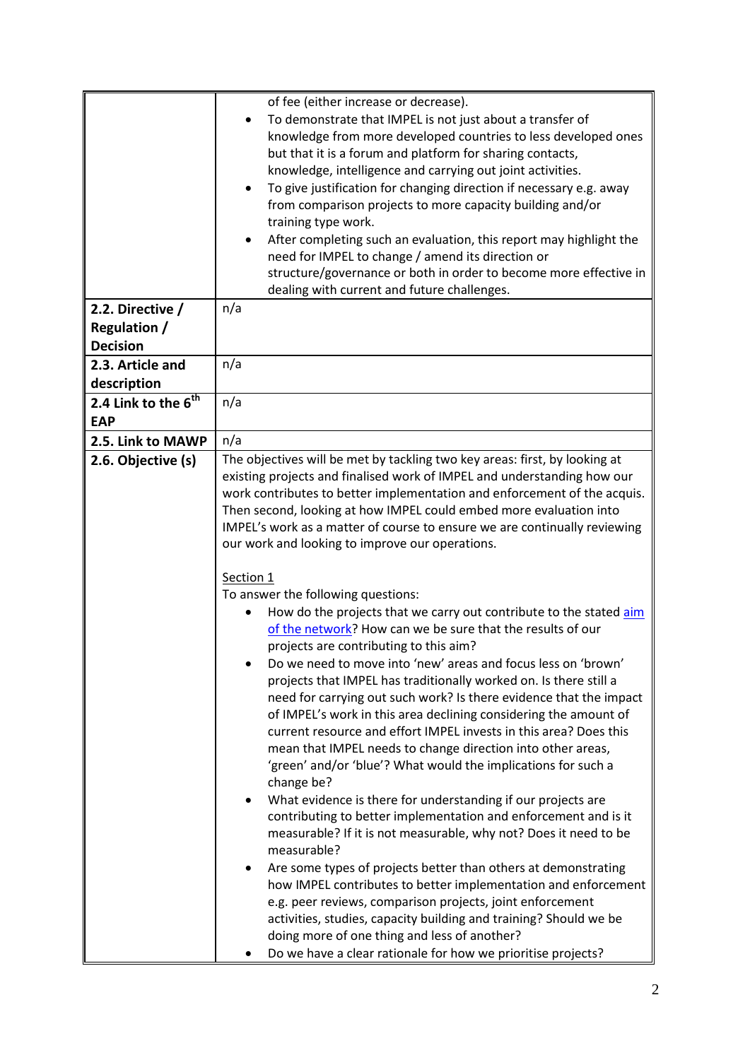|                                                            | of fee (either increase or decrease).<br>To demonstrate that IMPEL is not just about a transfer of<br>$\bullet$<br>knowledge from more developed countries to less developed ones<br>but that it is a forum and platform for sharing contacts,<br>knowledge, intelligence and carrying out joint activities.<br>To give justification for changing direction if necessary e.g. away<br>$\bullet$<br>from comparison projects to more capacity building and/or<br>training type work.<br>After completing such an evaluation, this report may highlight the<br>$\bullet$<br>need for IMPEL to change / amend its direction or<br>structure/governance or both in order to become more effective in<br>dealing with current and future challenges.                                                                                                                                                                                                         |
|------------------------------------------------------------|----------------------------------------------------------------------------------------------------------------------------------------------------------------------------------------------------------------------------------------------------------------------------------------------------------------------------------------------------------------------------------------------------------------------------------------------------------------------------------------------------------------------------------------------------------------------------------------------------------------------------------------------------------------------------------------------------------------------------------------------------------------------------------------------------------------------------------------------------------------------------------------------------------------------------------------------------------|
| 2.2. Directive /<br><b>Regulation /</b><br><b>Decision</b> | n/a                                                                                                                                                                                                                                                                                                                                                                                                                                                                                                                                                                                                                                                                                                                                                                                                                                                                                                                                                      |
| 2.3. Article and<br>description                            | n/a                                                                                                                                                                                                                                                                                                                                                                                                                                                                                                                                                                                                                                                                                                                                                                                                                                                                                                                                                      |
| 2.4 Link to the 6 <sup>th</sup><br><b>EAP</b>              | n/a                                                                                                                                                                                                                                                                                                                                                                                                                                                                                                                                                                                                                                                                                                                                                                                                                                                                                                                                                      |
| 2.5. Link to MAWP                                          | n/a                                                                                                                                                                                                                                                                                                                                                                                                                                                                                                                                                                                                                                                                                                                                                                                                                                                                                                                                                      |
| 2.6. Objective (s)                                         | The objectives will be met by tackling two key areas: first, by looking at<br>existing projects and finalised work of IMPEL and understanding how our<br>work contributes to better implementation and enforcement of the acquis.<br>Then second, looking at how IMPEL could embed more evaluation into<br>IMPEL's work as a matter of course to ensure we are continually reviewing<br>our work and looking to improve our operations.<br>Section 1<br>To answer the following questions:<br>How do the projects that we carry out contribute to the stated aim<br>of the network? How can we be sure that the results of our<br>projects are contributing to this aim?<br>Do we need to move into 'new' areas and focus less on 'brown'<br>projects that IMPEL has traditionally worked on. Is there still a<br>need for carrying out such work? Is there evidence that the impact<br>of IMPEL's work in this area declining considering the amount of |
|                                                            | current resource and effort IMPEL invests in this area? Does this<br>mean that IMPEL needs to change direction into other areas,<br>'green' and/or 'blue'? What would the implications for such a<br>change be?<br>What evidence is there for understanding if our projects are<br>contributing to better implementation and enforcement and is it<br>measurable? If it is not measurable, why not? Does it need to be<br>measurable?<br>Are some types of projects better than others at demonstrating<br>٠<br>how IMPEL contributes to better implementation and enforcement<br>e.g. peer reviews, comparison projects, joint enforcement<br>activities, studies, capacity building and training? Should we be<br>doing more of one thing and less of another?<br>Do we have a clear rationale for how we prioritise projects?                                                                                                                         |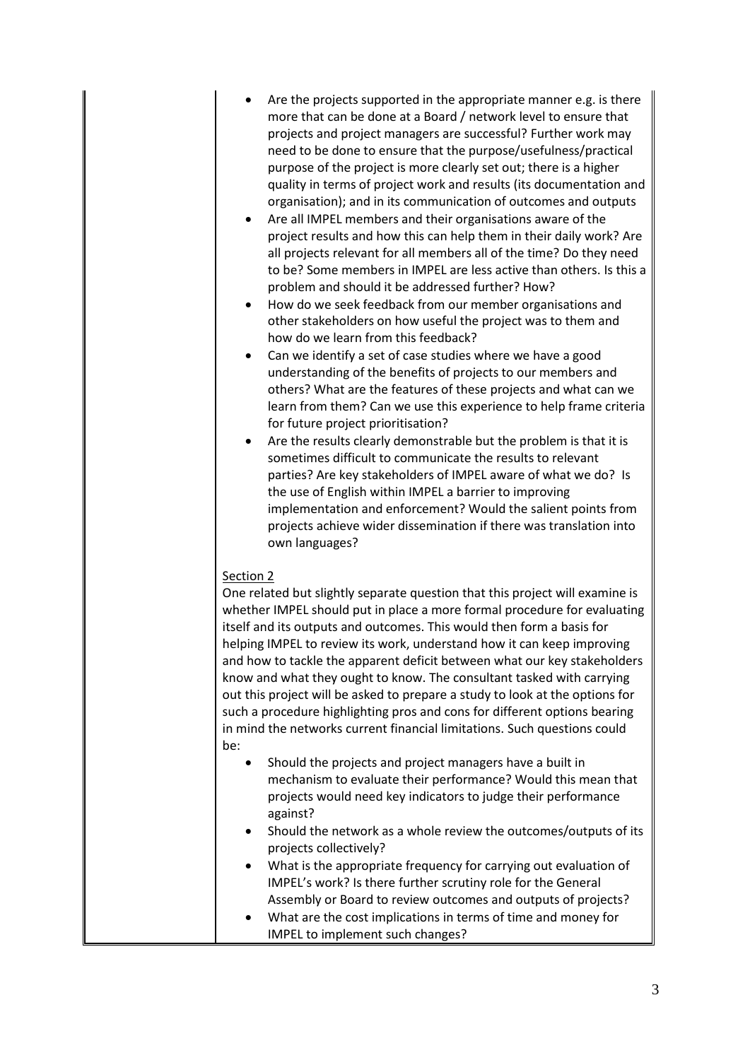- Are the projects supported in the appropriate manner e.g. is there more that can be done at a Board / network level to ensure that projects and project managers are successful? Further work may need to be done to ensure that the purpose/usefulness/practical purpose of the project is more clearly set out; there is a higher quality in terms of project work and results (its documentation and organisation); and in its communication of outcomes and outputs
- Are all IMPEL members and their organisations aware of the project results and how this can help them in their daily work? Are all projects relevant for all members all of the time? Do they need to be? Some members in IMPEL are less active than others. Is this a problem and should it be addressed further? How?
- How do we seek feedback from our member organisations and other stakeholders on how useful the project was to them and how do we learn from this feedback?
- Can we identify a set of case studies where we have a good understanding of the benefits of projects to our members and others? What are the features of these projects and what can we learn from them? Can we use this experience to help frame criteria for future project prioritisation?
- Are the results clearly demonstrable but the problem is that it is sometimes difficult to communicate the results to relevant parties? Are key stakeholders of IMPEL aware of what we do? Is the use of English within IMPEL a barrier to improving implementation and enforcement? Would the salient points from projects achieve wider dissemination if there was translation into own languages?

#### Section 2

One related but slightly separate question that this project will examine is whether IMPEL should put in place a more formal procedure for evaluating itself and its outputs and outcomes. This would then form a basis for helping IMPEL to review its work, understand how it can keep improving and how to tackle the apparent deficit between what our key stakeholders know and what they ought to know. The consultant tasked with carrying out this project will be asked to prepare a study to look at the options for such a procedure highlighting pros and cons for different options bearing in mind the networks current financial limitations. Such questions could be:

- Should the projects and project managers have a built in mechanism to evaluate their performance? Would this mean that projects would need key indicators to judge their performance against?
- Should the network as a whole review the outcomes/outputs of its projects collectively?
- What is the appropriate frequency for carrying out evaluation of IMPEL's work? Is there further scrutiny role for the General Assembly or Board to review outcomes and outputs of projects?
- What are the cost implications in terms of time and money for IMPEL to implement such changes?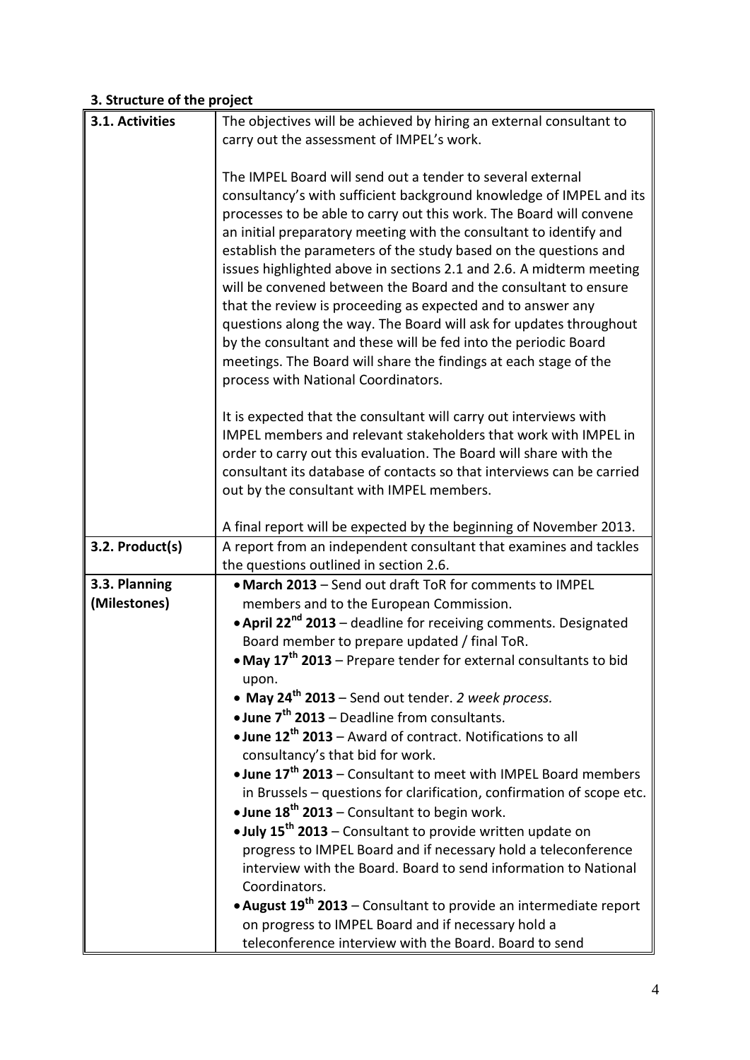# **3. Structure of the project**

| 3.1. Activities               | The objectives will be achieved by hiring an external consultant to                                                                                                                                                                                                                                                                             |
|-------------------------------|-------------------------------------------------------------------------------------------------------------------------------------------------------------------------------------------------------------------------------------------------------------------------------------------------------------------------------------------------|
|                               | carry out the assessment of IMPEL's work.                                                                                                                                                                                                                                                                                                       |
|                               | The IMPEL Board will send out a tender to several external<br>consultancy's with sufficient background knowledge of IMPEL and its                                                                                                                                                                                                               |
|                               | processes to be able to carry out this work. The Board will convene                                                                                                                                                                                                                                                                             |
|                               | an initial preparatory meeting with the consultant to identify and<br>establish the parameters of the study based on the questions and<br>issues highlighted above in sections 2.1 and 2.6. A midterm meeting<br>will be convened between the Board and the consultant to ensure<br>that the review is proceeding as expected and to answer any |
|                               | questions along the way. The Board will ask for updates throughout<br>by the consultant and these will be fed into the periodic Board<br>meetings. The Board will share the findings at each stage of the<br>process with National Coordinators.                                                                                                |
|                               | It is expected that the consultant will carry out interviews with                                                                                                                                                                                                                                                                               |
|                               | IMPEL members and relevant stakeholders that work with IMPEL in                                                                                                                                                                                                                                                                                 |
|                               | order to carry out this evaluation. The Board will share with the                                                                                                                                                                                                                                                                               |
|                               | consultant its database of contacts so that interviews can be carried<br>out by the consultant with IMPEL members.                                                                                                                                                                                                                              |
|                               |                                                                                                                                                                                                                                                                                                                                                 |
|                               | A final report will be expected by the beginning of November 2013.                                                                                                                                                                                                                                                                              |
| 3.2. Product(s)               | A report from an independent consultant that examines and tackles                                                                                                                                                                                                                                                                               |
|                               | the questions outlined in section 2.6.                                                                                                                                                                                                                                                                                                          |
| 3.3. Planning<br>(Milestones) | • March 2013 - Send out draft ToR for comments to IMPEL<br>members and to the European Commission.                                                                                                                                                                                                                                              |
|                               | • April 22 <sup>nd</sup> 2013 – deadline for receiving comments. Designated                                                                                                                                                                                                                                                                     |
|                               | Board member to prepare updated / final ToR.                                                                                                                                                                                                                                                                                                    |
|                               | • May 17 <sup>th</sup> 2013 – Prepare tender for external consultants to bid                                                                                                                                                                                                                                                                    |
|                               | upon.                                                                                                                                                                                                                                                                                                                                           |
|                               | • May 24 <sup>th</sup> 2013 - Send out tender. 2 week process.                                                                                                                                                                                                                                                                                  |
|                               | • June 7 <sup>th</sup> 2013 – Deadline from consultants.<br>• June 12 <sup>th</sup> 2013 – Award of contract. Notifications to all                                                                                                                                                                                                              |
|                               | consultancy's that bid for work.                                                                                                                                                                                                                                                                                                                |
|                               | • June 17 <sup>th</sup> 2013 – Consultant to meet with IMPEL Board members                                                                                                                                                                                                                                                                      |
|                               | in Brussels - questions for clarification, confirmation of scope etc.                                                                                                                                                                                                                                                                           |
|                               | • June $18^{th}$ 2013 – Consultant to begin work.                                                                                                                                                                                                                                                                                               |
|                               | . July 15 <sup>th</sup> 2013 - Consultant to provide written update on                                                                                                                                                                                                                                                                          |
|                               | progress to IMPEL Board and if necessary hold a teleconference<br>interview with the Board. Board to send information to National                                                                                                                                                                                                               |
|                               | Coordinators.<br>• August 19 <sup>th</sup> 2013 – Consultant to provide an intermediate report                                                                                                                                                                                                                                                  |
|                               | on progress to IMPEL Board and if necessary hold a                                                                                                                                                                                                                                                                                              |
|                               | teleconference interview with the Board. Board to send                                                                                                                                                                                                                                                                                          |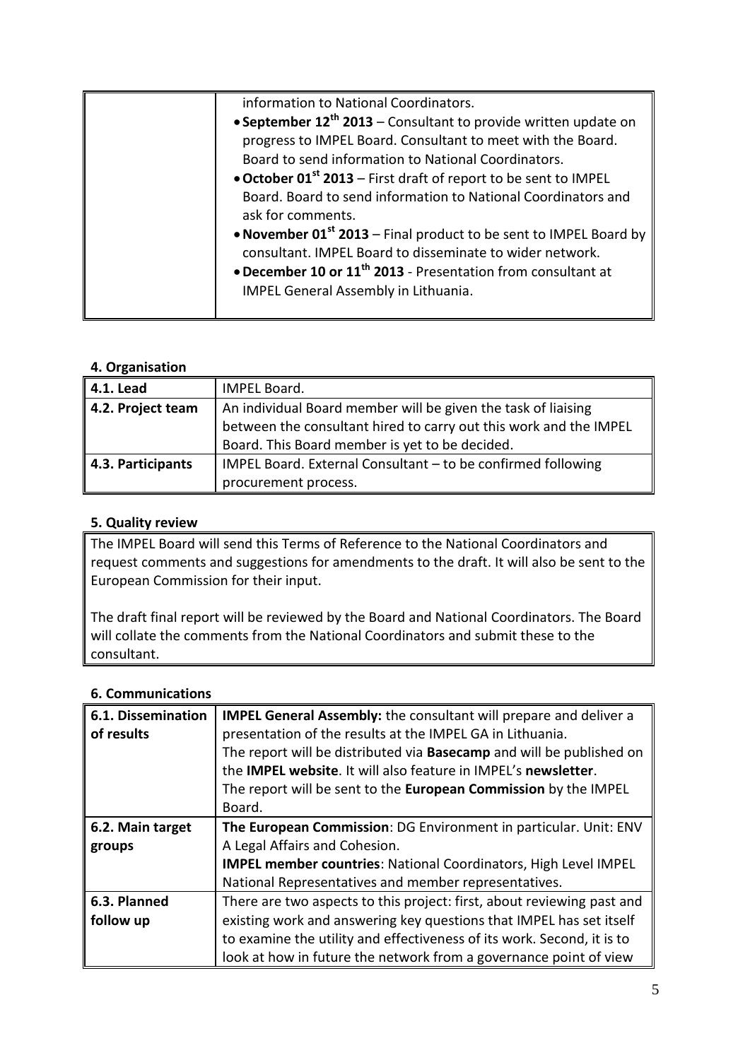| information to National Coordinators.                                         |
|-------------------------------------------------------------------------------|
| • September $12^{th}$ 2013 – Consultant to provide written update on          |
| progress to IMPEL Board. Consultant to meet with the Board.                   |
| Board to send information to National Coordinators.                           |
| • October 01 <sup>st</sup> 2013 – First draft of report to be sent to IMPEL   |
| Board. Board to send information to National Coordinators and                 |
| ask for comments.                                                             |
| • November 01 <sup>st</sup> 2013 – Final product to be sent to IMPEL Board by |
| consultant. IMPEL Board to disseminate to wider network.                      |
| • December 10 or 11 <sup>th</sup> 2013 - Presentation from consultant at      |
| IMPEL General Assembly in Lithuania.                                          |
|                                                                               |

#### **4. Organisation**

| 4.1. Lead                     | IMPEL Board.                                                      |
|-------------------------------|-------------------------------------------------------------------|
| $\parallel$ 4.2. Project team | An individual Board member will be given the task of liaising     |
|                               | between the consultant hired to carry out this work and the IMPEL |
|                               | Board. This Board member is yet to be decided.                    |
| 4.3. Participants             | IMPEL Board. External Consultant - to be confirmed following      |
|                               | procurement process.                                              |

### **5. Quality review**

The IMPEL Board will send this Terms of Reference to the National Coordinators and request comments and suggestions for amendments to the draft. It will also be sent to the European Commission for their input.

The draft final report will be reviewed by the Board and National Coordinators. The Board will collate the comments from the National Coordinators and submit these to the consultant.

#### **6. Communications**

| 6.1. Dissemination<br>of results | <b>IMPEL General Assembly:</b> the consultant will prepare and deliver a<br>presentation of the results at the IMPEL GA in Lithuania. |
|----------------------------------|---------------------------------------------------------------------------------------------------------------------------------------|
|                                  |                                                                                                                                       |
|                                  | The report will be distributed via <b>Basecamp</b> and will be published on                                                           |
|                                  | the <b>IMPEL website</b> . It will also feature in IMPEL's newsletter.                                                                |
|                                  | The report will be sent to the European Commission by the IMPEL                                                                       |
|                                  | Board.                                                                                                                                |
| 6.2. Main target                 | The European Commission: DG Environment in particular. Unit: ENV                                                                      |
| groups                           | A Legal Affairs and Cohesion.                                                                                                         |
|                                  | <b>IMPEL member countries: National Coordinators, High Level IMPEL</b>                                                                |
|                                  | National Representatives and member representatives.                                                                                  |
| 6.3. Planned                     | There are two aspects to this project: first, about reviewing past and                                                                |
| follow up                        | existing work and answering key questions that IMPEL has set itself                                                                   |
|                                  | to examine the utility and effectiveness of its work. Second, it is to                                                                |
|                                  | look at how in future the network from a governance point of view                                                                     |